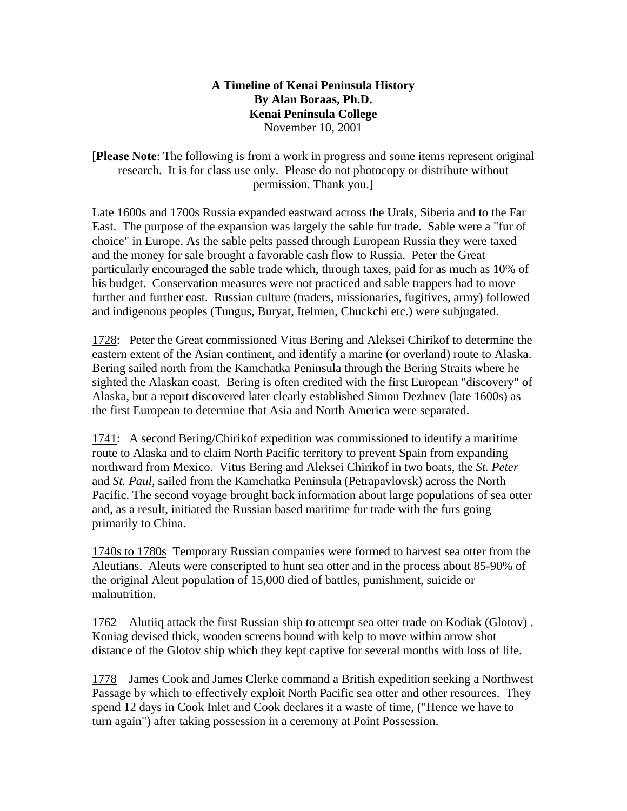## **A Timeline of Kenai Peninsula History By Alan Boraas, Ph.D. Kenai Peninsula College**  November 10, 2001

[**Please Note**: The following is from a work in progress and some items represent original research. It is for class use only. Please do not photocopy or distribute without permission. Thank you.]

Late 1600s and 1700s Russia expanded eastward across the Urals, Siberia and to the Far East. The purpose of the expansion was largely the sable fur trade. Sable were a "fur of choice" in Europe. As the sable pelts passed through European Russia they were taxed and the money for sale brought a favorable cash flow to Russia. Peter the Great particularly encouraged the sable trade which, through taxes, paid for as much as 10% of his budget. Conservation measures were not practiced and sable trappers had to move further and further east. Russian culture (traders, missionaries, fugitives, army) followed and indigenous peoples (Tungus, Buryat, Itelmen, Chuckchi etc.) were subjugated.

1728: Peter the Great commissioned Vitus Bering and Aleksei Chirikof to determine the eastern extent of the Asian continent, and identify a marine (or overland) route to Alaska. Bering sailed north from the Kamchatka Peninsula through the Bering Straits where he sighted the Alaskan coast. Bering is often credited with the first European "discovery" of Alaska, but a report discovered later clearly established Simon Dezhnev (late 1600s) as the first European to determine that Asia and North America were separated.

1741: A second Bering/Chirikof expedition was commissioned to identify a maritime route to Alaska and to claim North Pacific territory to prevent Spain from expanding northward from Mexico. Vitus Bering and Aleksei Chirikof in two boats, the *St. Peter* and *St. Paul*, sailed from the Kamchatka Peninsula (Petrapavlovsk) across the North Pacific. The second voyage brought back information about large populations of sea otter and, as a result, initiated the Russian based maritime fur trade with the furs going primarily to China.

1740s to 1780s Temporary Russian companies were formed to harvest sea otter from the Aleutians. Aleuts were conscripted to hunt sea otter and in the process about 85-90% of the original Aleut population of 15,000 died of battles, punishment, suicide or malnutrition.

1762 Alutiiq attack the first Russian ship to attempt sea otter trade on Kodiak (Glotov) . Koniag devised thick, wooden screens bound with kelp to move within arrow shot distance of the Glotov ship which they kept captive for several months with loss of life.

1778 James Cook and James Clerke command a British expedition seeking a Northwest Passage by which to effectively exploit North Pacific sea otter and other resources. They spend 12 days in Cook Inlet and Cook declares it a waste of time, ("Hence we have to turn again") after taking possession in a ceremony at Point Possession.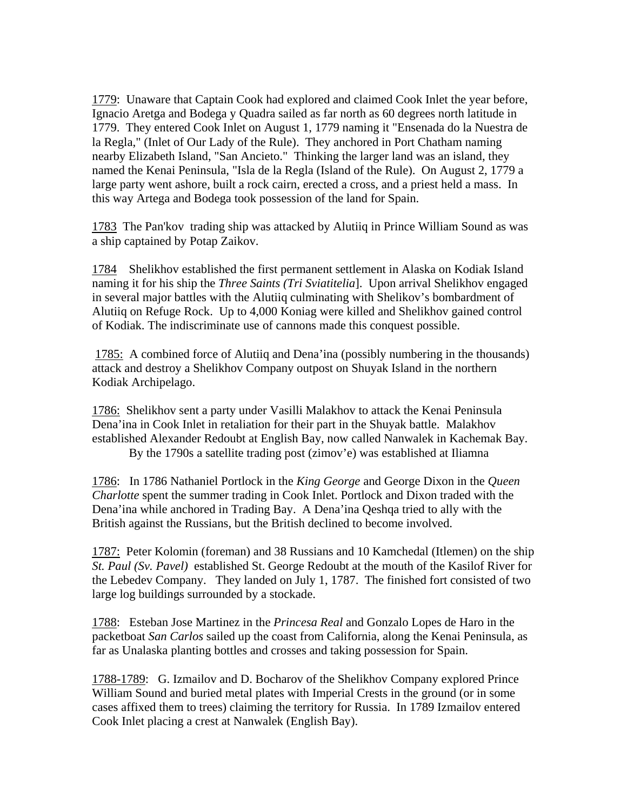1779: Unaware that Captain Cook had explored and claimed Cook Inlet the year before, Ignacio Aretga and Bodega y Quadra sailed as far north as 60 degrees north latitude in 1779. They entered Cook Inlet on August 1, 1779 naming it "Ensenada do la Nuestra de la Regla," (Inlet of Our Lady of the Rule). They anchored in Port Chatham naming nearby Elizabeth Island, "San Ancieto." Thinking the larger land was an island, they named the Kenai Peninsula, "Isla de la Regla (Island of the Rule). On August 2, 1779 a large party went ashore, built a rock cairn, erected a cross, and a priest held a mass. In this way Artega and Bodega took possession of the land for Spain.

1783 The Pan'kov trading ship was attacked by Alutiiq in Prince William Sound as was a ship captained by Potap Zaikov.

1784 Shelikhov established the first permanent settlement in Alaska on Kodiak Island naming it for his ship the *Three Saints (Tri Sviatitelia*]. Upon arrival Shelikhov engaged in several major battles with the Alutiiq culminating with Shelikov's bombardment of Alutiiq on Refuge Rock. Up to 4,000 Koniag were killed and Shelikhov gained control of Kodiak. The indiscriminate use of cannons made this conquest possible.

1785: A combined force of Alutiiq and Dena'ina (possibly numbering in the thousands) attack and destroy a Shelikhov Company outpost on Shuyak Island in the northern Kodiak Archipelago.

1786: Shelikhov sent a party under Vasilli Malakhov to attack the Kenai Peninsula Dena'ina in Cook Inlet in retaliation for their part in the Shuyak battle. Malakhov established Alexander Redoubt at English Bay, now called Nanwalek in Kachemak Bay. By the 1790s a satellite trading post (zimov'e) was established at Iliamna

1786: In 1786 Nathaniel Portlock in the *King George* and George Dixon in the *Queen Charlotte* spent the summer trading in Cook Inlet. Portlock and Dixon traded with the Dena'ina while anchored in Trading Bay. A Dena'ina Qeshqa tried to ally with the British against the Russians, but the British declined to become involved.

1787: Peter Kolomin (foreman) and 38 Russians and 10 Kamchedal (Itlemen) on the ship *St. Paul (Sv. Pavel)* established St. George Redoubt at the mouth of the Kasilof River for the Lebedev Company. They landed on July 1, 1787. The finished fort consisted of two large log buildings surrounded by a stockade.

1788: Esteban Jose Martinez in the *Princesa Real* and Gonzalo Lopes de Haro in the packetboat *San Carlos* sailed up the coast from California, along the Kenai Peninsula, as far as Unalaska planting bottles and crosses and taking possession for Spain.

1788-1789: G. Izmailov and D. Bocharov of the Shelikhov Company explored Prince William Sound and buried metal plates with Imperial Crests in the ground (or in some cases affixed them to trees) claiming the territory for Russia. In 1789 Izmailov entered Cook Inlet placing a crest at Nanwalek (English Bay).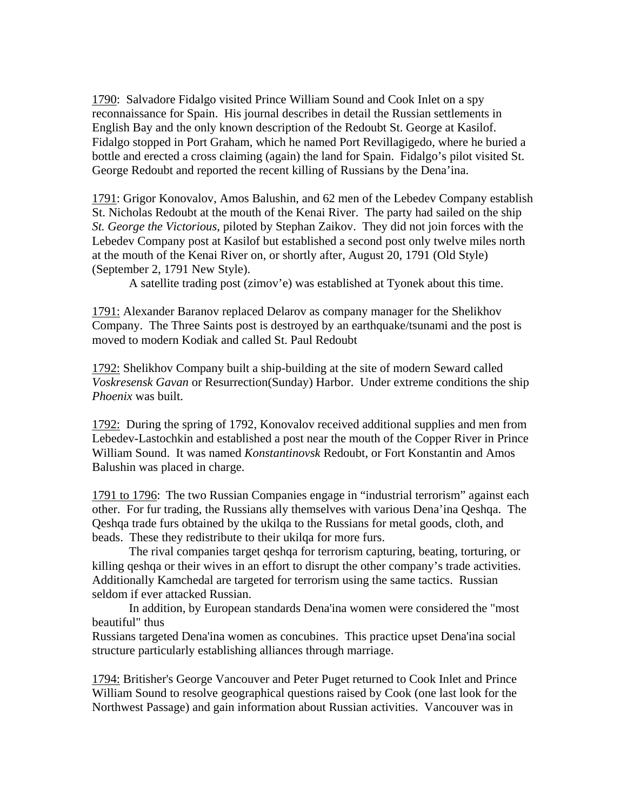1790: Salvadore Fidalgo visited Prince William Sound and Cook Inlet on a spy reconnaissance for Spain. His journal describes in detail the Russian settlements in English Bay and the only known description of the Redoubt St. George at Kasilof. Fidalgo stopped in Port Graham, which he named Port Revillagigedo, where he buried a bottle and erected a cross claiming (again) the land for Spain. Fidalgo's pilot visited St. George Redoubt and reported the recent killing of Russians by the Dena'ina.

1791: Grigor Konovalov, Amos Balushin, and 62 men of the Lebedev Company establish St. Nicholas Redoubt at the mouth of the Kenai River. The party had sailed on the ship *St. George the Victorious*, piloted by Stephan Zaikov. They did not join forces with the Lebedev Company post at Kasilof but established a second post only twelve miles north at the mouth of the Kenai River on, or shortly after, August 20, 1791 (Old Style) (September 2, 1791 New Style).

A satellite trading post (zimov'e) was established at Tyonek about this time.

1791: Alexander Baranov replaced Delarov as company manager for the Shelikhov Company. The Three Saints post is destroyed by an earthquake/tsunami and the post is moved to modern Kodiak and called St. Paul Redoubt

1792: Shelikhov Company built a ship-building at the site of modern Seward called *Voskresensk Gavan* or Resurrection(Sunday) Harbor. Under extreme conditions the ship *Phoenix* was built.

1792: During the spring of 1792, Konovalov received additional supplies and men from Lebedev-Lastochkin and established a post near the mouth of the Copper River in Prince William Sound. It was named *Konstantinovsk* Redoubt, or Fort Konstantin and Amos Balushin was placed in charge.

1791 to 1796: The two Russian Companies engage in "industrial terrorism" against each other. For fur trading, the Russians ally themselves with various Dena'ina Qeshqa. The Qeshqa trade furs obtained by the ukilqa to the Russians for metal goods, cloth, and beads. These they redistribute to their ukilqa for more furs.

 The rival companies target qeshqa for terrorism capturing, beating, torturing, or killing qeshqa or their wives in an effort to disrupt the other company's trade activities. Additionally Kamchedal are targeted for terrorism using the same tactics. Russian seldom if ever attacked Russian.

 In addition, by European standards Dena'ina women were considered the "most beautiful" thus

Russians targeted Dena'ina women as concubines. This practice upset Dena'ina social structure particularly establishing alliances through marriage.

1794: Britisher's George Vancouver and Peter Puget returned to Cook Inlet and Prince William Sound to resolve geographical questions raised by Cook (one last look for the Northwest Passage) and gain information about Russian activities. Vancouver was in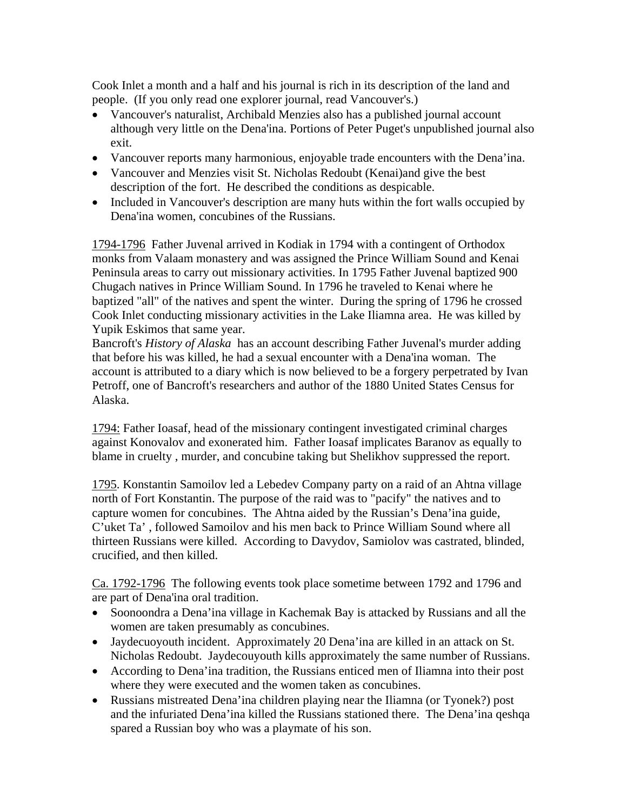Cook Inlet a month and a half and his journal is rich in its description of the land and people. (If you only read one explorer journal, read Vancouver's.)

- Vancouver's naturalist, Archibald Menzies also has a published journal account although very little on the Dena'ina. Portions of Peter Puget's unpublished journal also exit.
- Vancouver reports many harmonious, enjoyable trade encounters with the Dena'ina.
- Vancouver and Menzies visit St. Nicholas Redoubt (Kenai) and give the best description of the fort. He described the conditions as despicable.
- Included in Vancouver's description are many huts within the fort walls occupied by Dena'ina women, concubines of the Russians.

1794-1796 Father Juvenal arrived in Kodiak in 1794 with a contingent of Orthodox monks from Valaam monastery and was assigned the Prince William Sound and Kenai Peninsula areas to carry out missionary activities. In 1795 Father Juvenal baptized 900 Chugach natives in Prince William Sound. In 1796 he traveled to Kenai where he baptized "all" of the natives and spent the winter. During the spring of 1796 he crossed Cook Inlet conducting missionary activities in the Lake Iliamna area. He was killed by Yupik Eskimos that same year.

Bancroft's *History of Alaska* has an account describing Father Juvenal's murder adding that before his was killed, he had a sexual encounter with a Dena'ina woman. The account is attributed to a diary which is now believed to be a forgery perpetrated by Ivan Petroff, one of Bancroft's researchers and author of the 1880 United States Census for Alaska.

1794: Father Ioasaf, head of the missionary contingent investigated criminal charges against Konovalov and exonerated him. Father Ioasaf implicates Baranov as equally to blame in cruelty , murder, and concubine taking but Shelikhov suppressed the report.

1795. Konstantin Samoilov led a Lebedev Company party on a raid of an Ahtna village north of Fort Konstantin. The purpose of the raid was to "pacify" the natives and to capture women for concubines. The Ahtna aided by the Russian's Dena'ina guide, C'uket Ta' , followed Samoilov and his men back to Prince William Sound where all thirteen Russians were killed. According to Davydov, Samiolov was castrated, blinded, crucified, and then killed.

Ca. 1792-1796 The following events took place sometime between 1792 and 1796 and are part of Dena'ina oral tradition.

- Soonoondra a Dena'ina village in Kachemak Bay is attacked by Russians and all the women are taken presumably as concubines.
- Jaydecuoyouth incident. Approximately 20 Dena'ina are killed in an attack on St. Nicholas Redoubt. Jaydecouyouth kills approximately the same number of Russians.
- According to Dena'ina tradition, the Russians enticed men of Iliamna into their post where they were executed and the women taken as concubines.
- Russians mistreated Dena'ina children playing near the Iliamna (or Tyonek?) post and the infuriated Dena'ina killed the Russians stationed there. The Dena'ina qeshqa spared a Russian boy who was a playmate of his son.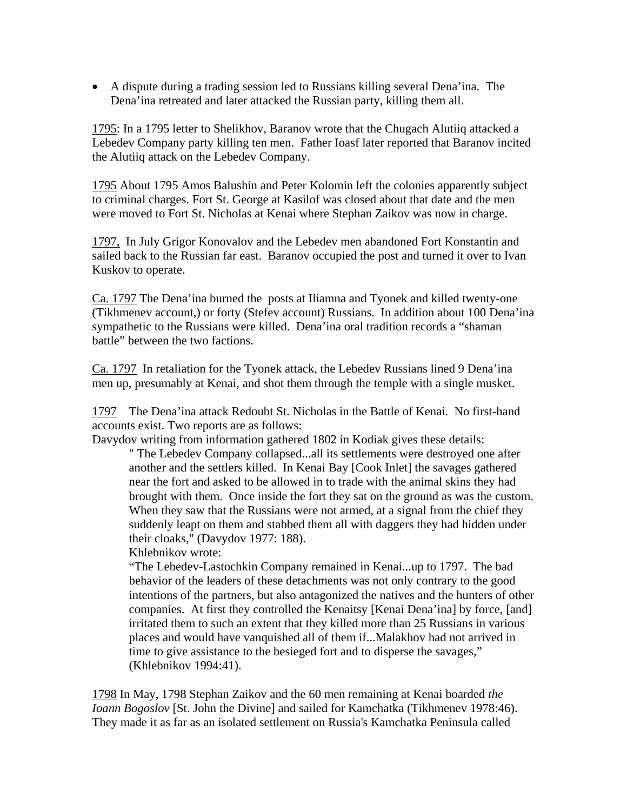• A dispute during a trading session led to Russians killing several Dena'ina. The Dena'ina retreated and later attacked the Russian party, killing them all.

1795: In a 1795 letter to Shelikhov, Baranov wrote that the Chugach Alutiiq attacked a Lebedev Company party killing ten men. Father Ioasf later reported that Baranov incited the Alutiiq attack on the Lebedev Company.

1795 About 1795 Amos Balushin and Peter Kolomin left the colonies apparently subject to criminal charges. Fort St. George at Kasilof was closed about that date and the men were moved to Fort St. Nicholas at Kenai where Stephan Zaikov was now in charge.

1797, In July Grigor Konovalov and the Lebedev men abandoned Fort Konstantin and sailed back to the Russian far east. Baranov occupied the post and turned it over to Ivan Kuskov to operate.

Ca. 1797 The Dena'ina burned the posts at Iliamna and Tyonek and killed twenty-one (Tikhmenev account,) or forty (Stefev account) Russians. In addition about 100 Dena'ina sympathetic to the Russians were killed. Dena'ina oral tradition records a "shaman battle" between the two factions.

Ca. 1797 In retaliation for the Tyonek attack, the Lebedev Russians lined 9 Dena'ina men up, presumably at Kenai, and shot them through the temple with a single musket.

1797 The Dena'ina attack Redoubt St. Nicholas in the Battle of Kenai. No first-hand accounts exist. Two reports are as follows:

Davydov writing from information gathered 1802 in Kodiak gives these details:

" The Lebedev Company collapsed...all its settlements were destroyed one after another and the settlers killed. In Kenai Bay [Cook Inlet] the savages gathered near the fort and asked to be allowed in to trade with the animal skins they had brought with them. Once inside the fort they sat on the ground as was the custom. When they saw that the Russians were not armed, at a signal from the chief they suddenly leapt on them and stabbed them all with daggers they had hidden under their cloaks," (Davydov 1977: 188).

Khlebnikov wrote:

"The Lebedev-Lastochkin Company remained in Kenai...up to 1797. The bad behavior of the leaders of these detachments was not only contrary to the good intentions of the partners, but also antagonized the natives and the hunters of other companies. At first they controlled the Kenaitsy [Kenai Dena'ina] by force, [and] irritated them to such an extent that they killed more than 25 Russians in various places and would have vanquished all of them if...Malakhov had not arrived in time to give assistance to the besieged fort and to disperse the savages," (Khlebnikov 1994:41).

1798 In May, 1798 Stephan Zaikov and the 60 men remaining at Kenai boarded *the Ioann Bogoslov* [St. John the Divine] and sailed for Kamchatka (Tikhmenev 1978:46). They made it as far as an isolated settlement on Russia's Kamchatka Peninsula called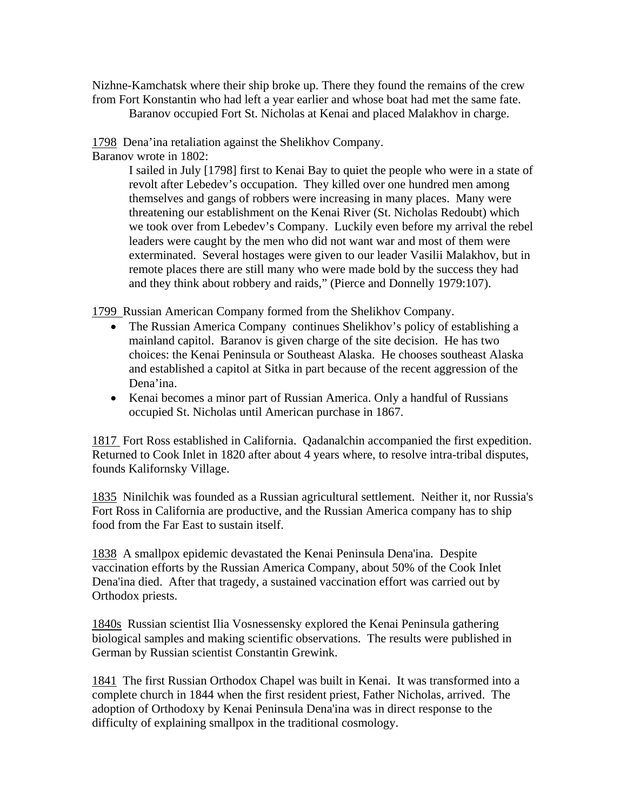Nizhne-Kamchatsk where their ship broke up. There they found the remains of the crew from Fort Konstantin who had left a year earlier and whose boat had met the same fate.

Baranov occupied Fort St. Nicholas at Kenai and placed Malakhov in charge.

1798 Dena'ina retaliation against the Shelikhov Company.

Baranov wrote in 1802:

I sailed in July [1798] first to Kenai Bay to quiet the people who were in a state of revolt after Lebedev's occupation. They killed over one hundred men among themselves and gangs of robbers were increasing in many places. Many were threatening our establishment on the Kenai River (St. Nicholas Redoubt) which we took over from Lebedev's Company. Luckily even before my arrival the rebel leaders were caught by the men who did not want war and most of them were exterminated. Several hostages were given to our leader Vasilii Malakhov, but in remote places there are still many who were made bold by the success they had and they think about robbery and raids," (Pierce and Donnelly 1979:107).

1799 Russian American Company formed from the Shelikhov Company.

- The Russian America Company continues Shelikhov's policy of establishing a mainland capitol. Baranov is given charge of the site decision. He has two choices: the Kenai Peninsula or Southeast Alaska. He chooses southeast Alaska and established a capitol at Sitka in part because of the recent aggression of the Dena'ina.
- Kenai becomes a minor part of Russian America. Only a handful of Russians occupied St. Nicholas until American purchase in 1867.

1817 Fort Ross established in California. Qadanalchin accompanied the first expedition. Returned to Cook Inlet in 1820 after about 4 years where, to resolve intra-tribal disputes, founds Kalifornsky Village.

1835 Ninilchik was founded as a Russian agricultural settlement. Neither it, nor Russia's Fort Ross in California are productive, and the Russian America company has to ship food from the Far East to sustain itself.

1838 A smallpox epidemic devastated the Kenai Peninsula Dena'ina. Despite vaccination efforts by the Russian America Company, about 50% of the Cook Inlet Dena'ina died. After that tragedy, a sustained vaccination effort was carried out by Orthodox priests.

1840s Russian scientist Ilia Vosnessensky explored the Kenai Peninsula gathering biological samples and making scientific observations. The results were published in German by Russian scientist Constantin Grewink.

1841 The first Russian Orthodox Chapel was built in Kenai. It was transformed into a complete church in 1844 when the first resident priest, Father Nicholas, arrived. The adoption of Orthodoxy by Kenai Peninsula Dena'ina was in direct response to the difficulty of explaining smallpox in the traditional cosmology.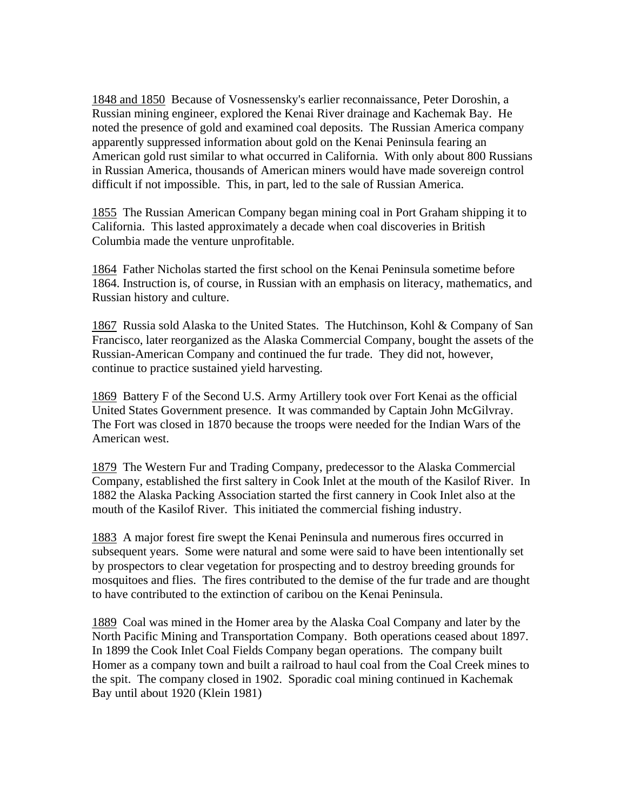1848 and 1850 Because of Vosnessensky's earlier reconnaissance, Peter Doroshin, a Russian mining engineer, explored the Kenai River drainage and Kachemak Bay. He noted the presence of gold and examined coal deposits. The Russian America company apparently suppressed information about gold on the Kenai Peninsula fearing an American gold rust similar to what occurred in California. With only about 800 Russians in Russian America, thousands of American miners would have made sovereign control difficult if not impossible. This, in part, led to the sale of Russian America.

1855 The Russian American Company began mining coal in Port Graham shipping it to California. This lasted approximately a decade when coal discoveries in British Columbia made the venture unprofitable.

1864 Father Nicholas started the first school on the Kenai Peninsula sometime before 1864. Instruction is, of course, in Russian with an emphasis on literacy, mathematics, and Russian history and culture.

1867 Russia sold Alaska to the United States. The Hutchinson, Kohl & Company of San Francisco, later reorganized as the Alaska Commercial Company, bought the assets of the Russian-American Company and continued the fur trade. They did not, however, continue to practice sustained yield harvesting.

1869 Battery F of the Second U.S. Army Artillery took over Fort Kenai as the official United States Government presence. It was commanded by Captain John McGilvray. The Fort was closed in 1870 because the troops were needed for the Indian Wars of the American west.

1879 The Western Fur and Trading Company, predecessor to the Alaska Commercial Company, established the first saltery in Cook Inlet at the mouth of the Kasilof River. In 1882 the Alaska Packing Association started the first cannery in Cook Inlet also at the mouth of the Kasilof River. This initiated the commercial fishing industry.

1883 A major forest fire swept the Kenai Peninsula and numerous fires occurred in subsequent years. Some were natural and some were said to have been intentionally set by prospectors to clear vegetation for prospecting and to destroy breeding grounds for mosquitoes and flies. The fires contributed to the demise of the fur trade and are thought to have contributed to the extinction of caribou on the Kenai Peninsula.

1889 Coal was mined in the Homer area by the Alaska Coal Company and later by the North Pacific Mining and Transportation Company. Both operations ceased about 1897. In 1899 the Cook Inlet Coal Fields Company began operations. The company built Homer as a company town and built a railroad to haul coal from the Coal Creek mines to the spit. The company closed in 1902. Sporadic coal mining continued in Kachemak Bay until about 1920 (Klein 1981)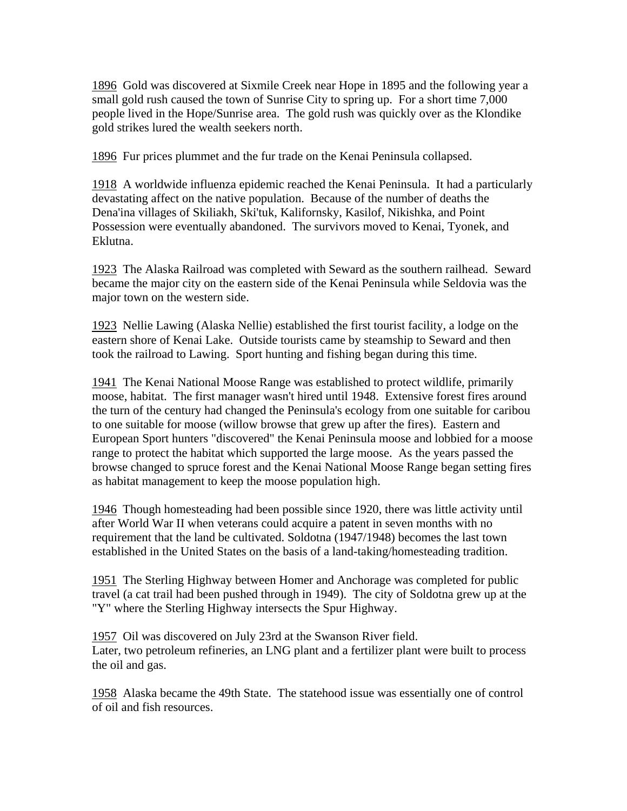1896 Gold was discovered at Sixmile Creek near Hope in 1895 and the following year a small gold rush caused the town of Sunrise City to spring up. For a short time 7,000 people lived in the Hope/Sunrise area. The gold rush was quickly over as the Klondike gold strikes lured the wealth seekers north.

1896 Fur prices plummet and the fur trade on the Kenai Peninsula collapsed.

1918 A worldwide influenza epidemic reached the Kenai Peninsula. It had a particularly devastating affect on the native population. Because of the number of deaths the Dena'ina villages of Skiliakh, Ski'tuk, Kalifornsky, Kasilof, Nikishka, and Point Possession were eventually abandoned. The survivors moved to Kenai, Tyonek, and Eklutna.

1923 The Alaska Railroad was completed with Seward as the southern railhead. Seward became the major city on the eastern side of the Kenai Peninsula while Seldovia was the major town on the western side.

1923 Nellie Lawing (Alaska Nellie) established the first tourist facility, a lodge on the eastern shore of Kenai Lake. Outside tourists came by steamship to Seward and then took the railroad to Lawing. Sport hunting and fishing began during this time.

1941 The Kenai National Moose Range was established to protect wildlife, primarily moose, habitat. The first manager wasn't hired until 1948. Extensive forest fires around the turn of the century had changed the Peninsula's ecology from one suitable for caribou to one suitable for moose (willow browse that grew up after the fires). Eastern and European Sport hunters "discovered" the Kenai Peninsula moose and lobbied for a moose range to protect the habitat which supported the large moose. As the years passed the browse changed to spruce forest and the Kenai National Moose Range began setting fires as habitat management to keep the moose population high.

1946 Though homesteading had been possible since 1920, there was little activity until after World War II when veterans could acquire a patent in seven months with no requirement that the land be cultivated. Soldotna (1947/1948) becomes the last town established in the United States on the basis of a land-taking/homesteading tradition.

1951 The Sterling Highway between Homer and Anchorage was completed for public travel (a cat trail had been pushed through in 1949). The city of Soldotna grew up at the "Y" where the Sterling Highway intersects the Spur Highway.

1957 Oil was discovered on July 23rd at the Swanson River field. Later, two petroleum refineries, an LNG plant and a fertilizer plant were built to process the oil and gas.

1958 Alaska became the 49th State. The statehood issue was essentially one of control of oil and fish resources.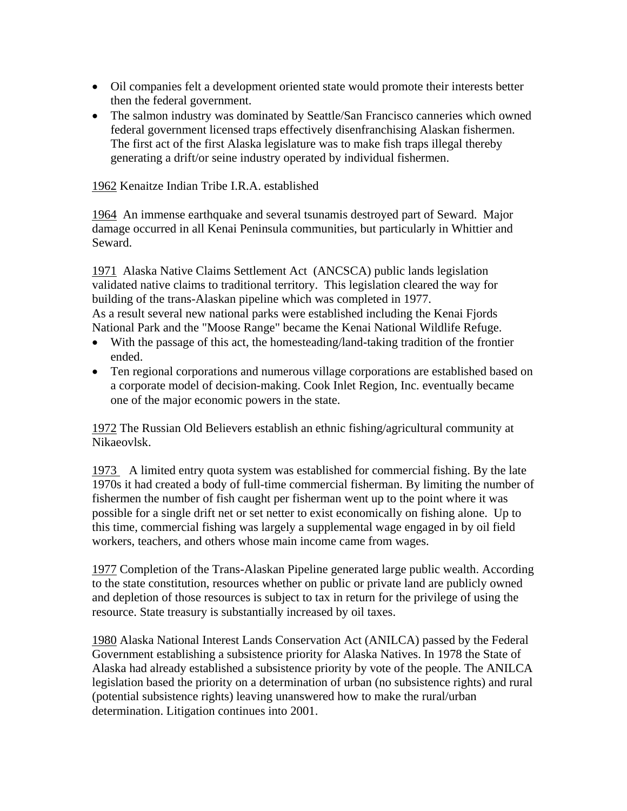- Oil companies felt a development oriented state would promote their interests better then the federal government.
- The salmon industry was dominated by Seattle/San Francisco canneries which owned federal government licensed traps effectively disenfranchising Alaskan fishermen. The first act of the first Alaska legislature was to make fish traps illegal thereby generating a drift/or seine industry operated by individual fishermen.

## 1962 Kenaitze Indian Tribe I.R.A. established

1964 An immense earthquake and several tsunamis destroyed part of Seward. Major damage occurred in all Kenai Peninsula communities, but particularly in Whittier and Seward.

1971 Alaska Native Claims Settlement Act (ANCSCA) public lands legislation validated native claims to traditional territory. This legislation cleared the way for building of the trans-Alaskan pipeline which was completed in 1977. As a result several new national parks were established including the Kenai Fjords National Park and the "Moose Range" became the Kenai National Wildlife Refuge.

- With the passage of this act, the homesteading/land-taking tradition of the frontier ended.
- Ten regional corporations and numerous village corporations are established based on a corporate model of decision-making. Cook Inlet Region, Inc. eventually became one of the major economic powers in the state.

1972 The Russian Old Believers establish an ethnic fishing/agricultural community at Nikaeovlsk.

1973 A limited entry quota system was established for commercial fishing. By the late 1970s it had created a body of full-time commercial fisherman. By limiting the number of fishermen the number of fish caught per fisherman went up to the point where it was possible for a single drift net or set netter to exist economically on fishing alone. Up to this time, commercial fishing was largely a supplemental wage engaged in by oil field workers, teachers, and others whose main income came from wages.

1977 Completion of the Trans-Alaskan Pipeline generated large public wealth. According to the state constitution, resources whether on public or private land are publicly owned and depletion of those resources is subject to tax in return for the privilege of using the resource. State treasury is substantially increased by oil taxes.

1980 Alaska National Interest Lands Conservation Act (ANILCA) passed by the Federal Government establishing a subsistence priority for Alaska Natives. In 1978 the State of Alaska had already established a subsistence priority by vote of the people. The ANILCA legislation based the priority on a determination of urban (no subsistence rights) and rural (potential subsistence rights) leaving unanswered how to make the rural/urban determination. Litigation continues into 2001.